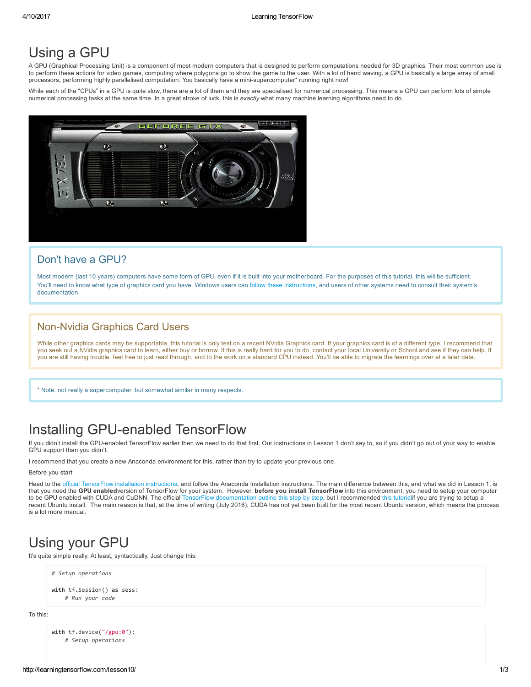## Using a GPU

A GPU (Graphical Processing Unit) is a component of most modern computers that is designed to perform computations needed for 3D graphics. Their most common use is to perform these actions for video games, computing where polygons go to show the game to the user. With a lot of hand waving, a GPU is basically a large array of small processors, performing highly parallelised computation. You basically have a minisupercomputer\* running right now!

While each of the "CPUs" in a GPU is quite slow, there are a lot of them and they are specialised for numerical processing. This means a GPU can perform lots of simple numerical processing tasks at the same time. In a great stroke of luck, this is exactly what many machine learning algorithms need to do.



#### Don't have a GPU?

Most modern (last 10 years) computers have some form of GPU, even if it is built into your motherboard. For the purposes of this tutorial, this will be sufficient. You'll need to know what type of graphics card you have. Windows users can follow these [instructions,](https://help.sketchup.com/en/article/36253) and users of other systems need to consult their system's documentation.

#### **Non-Nvidia Graphics Card Users**

While other graphics cards may be supportable, this tutorial is only test on a recent NVidia Graphics card. If your graphics card is of a different type, I recommend that you seek out a NVidia graphics card to learn, either buy or borrow. If this is really hard for you to do, contact your local University or School and see if they can help. If .<br>you are still having trouble, feel free to just read through, and to the work on a standard CPU instead. You'll be able to migrate the learnings over at a later date.

\* Note: not really a supercomputer, but somewhat similar in many respects.

# Installing GPU-enabled TensorFlow

If you didn't install the GPU-enabled TensorFlow earlier then we need to do that first. Our instructions in Lesson 1 don't say to, so if you didn't go out of your way to enable GPU support than you didn't.

I recommend that you create a new Anaconda environment for this, rather than try to update your previous one.

Before you start

Head to the official [TensorFlow](https://www.tensorflow.org/versions/r0.9/get_started/os_setup.html#anaconda-installation) installation instructions, and follow the Anaconda Installation instructions. The main difference between this, and what we did in Lesson 1, is that you need the GPU enabledversion of TensorFlow for your system. However, before you install TensorFlow into this environment, you need to setup your computer to be GPU enabled with CUDA and CuDNN. The official TensorFlow [documentation](https://www.tensorflow.org/versions/r0.9/get_started/os_setup.html#optional-install-cuda-gpus-on-linux) outline this step by step, but I recommended this [tutorial](http://www.computervisionbytecnalia.com/es/2016/06/deep-learning-development-setup-for-ubuntu-16-04-xenial/)if you are trying to setup a recent Ubuntu install. The main reason is that, at the time of writing (July 2016), CUDA has not yet been built for the most recent Ubuntu version, which means the process is a lot more manual.

## Using your GPU

It's quite simple really. At least, syntactically. Just change this:

```
# Setup operations
```

```
with tf.Session() as sess:
   # Run your code
```
To this:

```
with tf.device("/gpu:0"):
   # Setup operations
```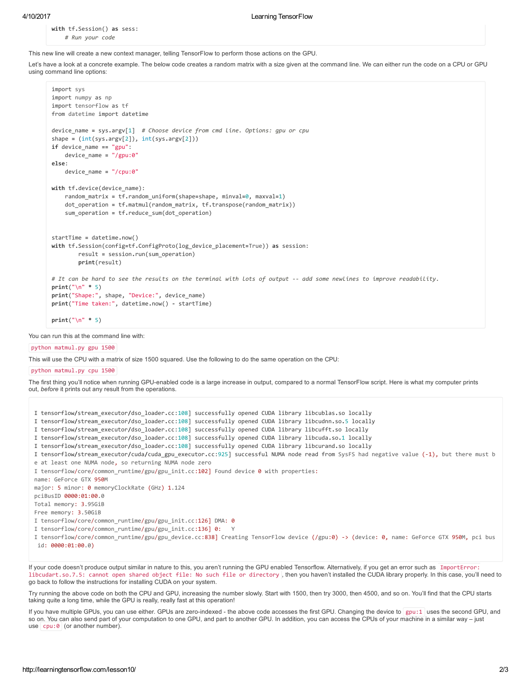with tf.Session() as sess: # Run your code

This new line will create a new context manager, telling TensorFlow to perform those actions on the GPU.

Let's have a look at a concrete example. The below code creates a random matrix with a size given at the command line. We can either run the code on a CPU or GPU using command line options:

```
import sys
import numpy as np
import tensorflow as tf
from datetime import datetime
device_name = sys.argv[1] # Choose device from cmd line. Options: gpu or cpu
shape = (int(sys.argv[2]), int(sys.argv[2]))if device name == "gpu":device_name = "/gpu:0"
else:
   device_name = "/cpu:0"
with tf.device(device name):
   random_matrix = tf.random_uniform(shape=shape, minval=0, maxval=1)
   dot_operation = tf.matmul(random_matrix, tf.transpose(random_matrix))
   sum_operation = tf.reduce_sum(dot_operation)
startTime = datetime.now()
with tf.Session(config=tf.ConfigProto(log_device_placement=True)) as session:
        result = session.run(sum_operation)
        print(result)
# It can be hard to see the results on the terminal with lots of output -- add some newlines to improve readability.
print("n" * 5)print("Shape:", shape, "Device:", device_name)
print("Time taken:", datetime.now() ‐ startTime)
print("n" * 5)
```
You can run this at the command line with:

python matmul.py gpu 1500

This will use the CPU with a matrix of size 1500 squared. Use the following to do the same operation on the CPU:

python matmul.py cpu 1500

The first thing you'll notice when running GPU-enabled code is a large increase in output, compared to a normal TensorFlow script. Here is what my computer prints out, before it prints out any result from the operations.

I tensorflow/stream\_executor/dso\_loader.cc:108] successfully opened CUDA library libcublas.so locally I tensorflow/stream executor/dso loader.cc:108] successfully opened CUDA library libcudnn.so.5 locally I tensorflow/stream\_executor/dso\_loader.cc:108] successfully opened CUDA library libcufft.so locally I tensorflow/stream executor/dso loader.cc:108] successfully opened CUDA library libcuda.so.1 locally I tensorflow/stream\_executor/dso\_loader.cc:108] successfully opened CUDA library libcurand.so locally I tensorflow/stream\_executor/cuda/cuda\_gpu\_executor.cc:925] successful NUMA node read from SysFS had negative value (‐1), but there must b e at least one NUMA node, so returning NUMA node zero I tensorflow/core/common\_runtime/gpu/gpu\_init.cc:102] Found device 0 with properties: name: GeForce GTX 950M major: 5 minor: 0 memoryClockRate (GHz) 1.124 pciBusID 0000:01:00.0 Total memory: 3.95GiB Free memory: 3.50GiB I tensorflow/core/common\_runtime/gpu/gpu\_init.cc:126] DMA: 0 I tensorflow/core/common\_runtime/gpu/gpu\_init.cc:136] 0: Y I tensorflow/core/common\_runtime/gpu/gpu\_device.cc:838] Creating TensorFlow device (/gpu:0) ‐> (device: 0, name: GeForce GTX 950M, pci bus id: 0000:01:00.0)

If your code doesn't produce output similar in nature to this, you aren't running the GPU enabled Tensorflow. Alternatively, if you get an error such as ImportError: libcudart.so.7.5: cannot open shared object file: No such file or directory , then you haven't installed the CUDA library properly. In this case, you'll need to go back to follow the instructions for installing CUDA on your system.

Try running the above code on both the CPU and GPU, increasing the number slowly. Start with 1500, then try 3000, then 4500, and so on. You'll find that the CPU starts taking quite a long time, while the GPU is really, really fast at this operation!

If you have multiple GPUs, you can use either. GPUs are zero-indexed - the above code accesses the first GPU. Changing the device to gpu:1 uses the second GPU, and so on. You can also send part of your computation to one GPU, and part to another GPU. In addition, you can access the CPUs of your machine in a similar way - just use cpu: 0 (or another number).